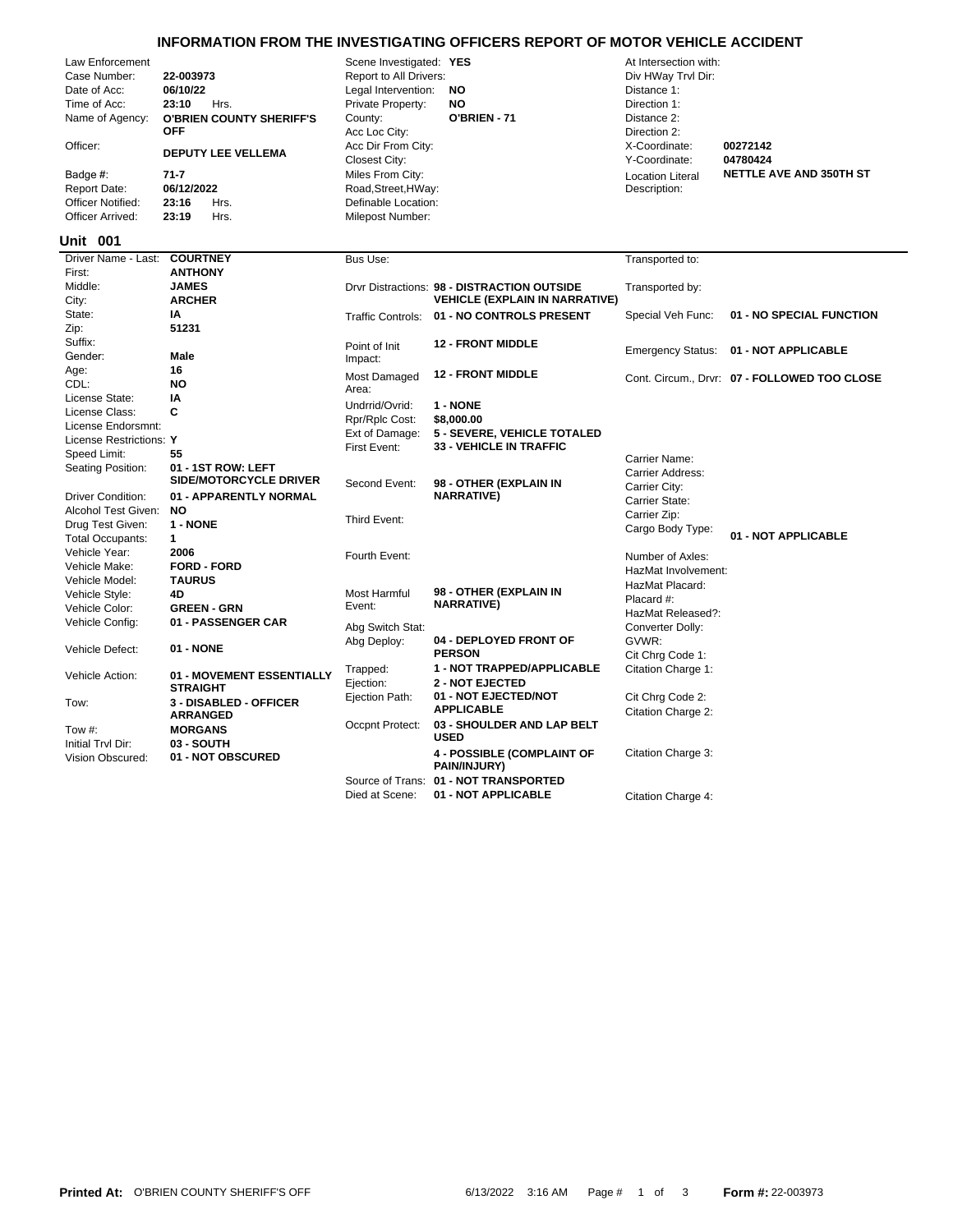## **INFORMATION FROM THE INVESTIGATING OFFICERS REPORT OF MOTOR VEHICLE ACCIDENT**

|                            | Law Enforcement          |                           |                                 | Scene investigated: TES |                  | At intersection with: |          |
|----------------------------|--------------------------|---------------------------|---------------------------------|-------------------------|------------------|-----------------------|----------|
|                            | Case Number:             | 22-003973                 |                                 | Report to All Drivers:  |                  | Div HWay Trvl Dir:    |          |
|                            | Date of Acc:             | 06/10/22                  |                                 | Legal Intervention:     | <b>NO</b>        | Distance 1:           |          |
|                            | Time of Acc:             | 23:10                     | Hrs.                            | Private Property:       | NO               | Direction 1:          |          |
|                            | Name of Agency:          |                           | <b>O'BRIEN COUNTY SHERIFF'S</b> | County:                 | O'BRIEN - 71     | Distance 2:           |          |
|                            |                          | <b>OFF</b>                |                                 | Acc Loc City:           |                  | Direction 2:          |          |
| Officer:                   |                          | <b>DEPUTY LEE VELLEMA</b> |                                 | Acc Dir From City:      |                  | X-Coordinate:         | 00272142 |
|                            |                          |                           |                                 | Closest City:           |                  | Y-Coordinate:         | 04780424 |
|                            | Badge #:<br>71-7         |                           | Miles From City:                |                         | Location Literal | <b>NETTLE</b>         |          |
| 06/12/2022<br>Report Date: |                          | Road, Street, HWay:       |                                 | Description:            |                  |                       |          |
|                            | <b>Officer Notified:</b> | 23:16                     | Hrs.                            | Definable Location:     |                  |                       |          |
|                            | Officer Arrived:         | 23:19                     | Hrs.                            | Milepost Number:        |                  |                       |          |

Definable Location:  $Road, Street,HWay:$ Closest City: Y-Coordinate: **04780424** Acc Loc City: Direction 2: **County: O'BRIEN - 71** Distance 2: Private Property: **NO** Direction 1: Legal Intervention: **NO** Distance 1: Case Number: **22-003973** Report to All Drivers: Div HWay Trvl Dir: Law Enforcement Scene Investigated: **YES** At Intersection with:

# Location Literal Description:

Miles From City: *NETTLE AVE AND 350TH ST* 

#### **001 Unit**

| Driver Name - Last:         | <b>COURTNEY</b>                           | Bus Use:            |                                             | Transported to:          |                                              |
|-----------------------------|-------------------------------------------|---------------------|---------------------------------------------|--------------------------|----------------------------------------------|
| First:                      | <b>ANTHONY</b>                            |                     |                                             |                          |                                              |
| Middle:                     | <b>JAMES</b>                              |                     | Drvr Distractions: 98 - DISTRACTION OUTSIDE | Transported by:          |                                              |
| City:                       | <b>ARCHER</b>                             |                     | <b>VEHICLE (EXPLAIN IN NARRATIVE)</b>       |                          |                                              |
| State:                      | ΙA                                        | Traffic Controls:   | 01 - NO CONTROLS PRESENT                    | Special Veh Func:        | 01 - NO SPECIAL FUNCTION                     |
| Zip:                        | 51231                                     |                     |                                             |                          |                                              |
| Suffix:                     |                                           | Point of Init       | <b>12 - FRONT MIDDLE</b>                    |                          |                                              |
| Gender:                     | Male                                      | Impact:             |                                             | <b>Emergency Status:</b> | 01 - NOT APPLICABLE                          |
| Age:                        | 16                                        | <b>Most Damaged</b> | <b>12 - FRONT MIDDLE</b>                    |                          |                                              |
| CDL:                        | <b>NO</b>                                 | Area:               |                                             |                          | Cont. Circum., Drvr: 07 - FOLLOWED TOO CLOSE |
| License State:              | ΙA                                        | Undrrid/Ovrid:      | 1 - NONE                                    |                          |                                              |
| License Class:              | C                                         | Rpr/Rplc Cost:      | \$8,000.00                                  |                          |                                              |
| License Endorsmnt:          |                                           | Ext of Damage:      | 5 - SEVERE, VEHICLE TOTALED                 |                          |                                              |
| License Restrictions: Y     |                                           | First Event:        | <b>33 - VEHICLE IN TRAFFIC</b>              |                          |                                              |
| Speed Limit:                | 55                                        |                     |                                             | Carrier Name:            |                                              |
| Seating Position:           | 01 - 1ST ROW: LEFT                        |                     |                                             | Carrier Address:         |                                              |
|                             | <b>SIDE/MOTORCYCLE DRIVER</b>             | Second Event:       | 98 - OTHER (EXPLAIN IN                      | Carrier City:            |                                              |
| <b>Driver Condition:</b>    | 01 - APPARENTLY NORMAL                    |                     | <b>NARRATIVE)</b>                           | Carrier State:           |                                              |
| Alcohol Test Given:         | NO.                                       |                     |                                             | Carrier Zip:             |                                              |
| Drug Test Given:            | 1 - NONE                                  | Third Event:        |                                             | Cargo Body Type:         |                                              |
| <b>Total Occupants:</b>     | $\mathbf{1}$                              |                     |                                             |                          | 01 - NOT APPLICABLE                          |
| Vehicle Year:               | 2006                                      | Fourth Event:       |                                             | Number of Axles:         |                                              |
| Vehicle Make:               | <b>FORD - FORD</b>                        |                     |                                             | HazMat Involvement:      |                                              |
| Vehicle Model:              | <b>TAURUS</b>                             |                     |                                             | HazMat Placard:          |                                              |
| Vehicle Style:              | 4D                                        | Most Harmful        | 98 - OTHER (EXPLAIN IN                      | Placard #:               |                                              |
| Vehicle Color:              | <b>GREEN - GRN</b>                        | Event:              | <b>NARRATIVE)</b>                           | HazMat Released?:        |                                              |
| Vehicle Config:             | 01 - PASSENGER CAR                        | Abg Switch Stat:    |                                             | Converter Dolly:         |                                              |
|                             |                                           | Abg Deploy:         | 04 - DEPLOYED FRONT OF                      | GVWR:                    |                                              |
| Vehicle Defect:             | 01 - NONE                                 |                     | <b>PERSON</b>                               | Cit Chrg Code 1:         |                                              |
|                             |                                           | Trapped:            | 1 - NOT TRAPPED/APPLICABLE                  | Citation Charge 1:       |                                              |
| Vehicle Action:             | 01 - MOVEMENT ESSENTIALLY                 | Ejection:           | <b>2 - NOT EJECTED</b>                      |                          |                                              |
|                             | <b>STRAIGHT</b>                           | Ejection Path:      | 01 - NOT EJECTED/NOT                        | Cit Chrg Code 2:         |                                              |
| Tow:                        | 3 - DISABLED - OFFICER<br><b>ARRANGED</b> |                     | <b>APPLICABLE</b>                           | Citation Charge 2:       |                                              |
|                             |                                           | Occpnt Protect:     | 03 - SHOULDER AND LAP BELT                  |                          |                                              |
| Tow #:<br>Initial Trvl Dir: | <b>MORGANS</b>                            |                     | <b>USED</b>                                 |                          |                                              |
| Vision Obscured:            | 03 - SOUTH<br>01 - NOT OBSCURED           |                     | <b>4 - POSSIBLE (COMPLAINT OF</b>           | Citation Charge 3:       |                                              |
|                             |                                           |                     | PAIN/INJURY)                                |                          |                                              |
|                             |                                           | Source of Trans:    | 01 - NOT TRANSPORTED                        |                          |                                              |
|                             |                                           | Died at Scene:      | 01 - NOT APPLICABLE                         | Citation Charge 4:       |                                              |
|                             |                                           |                     |                                             |                          |                                              |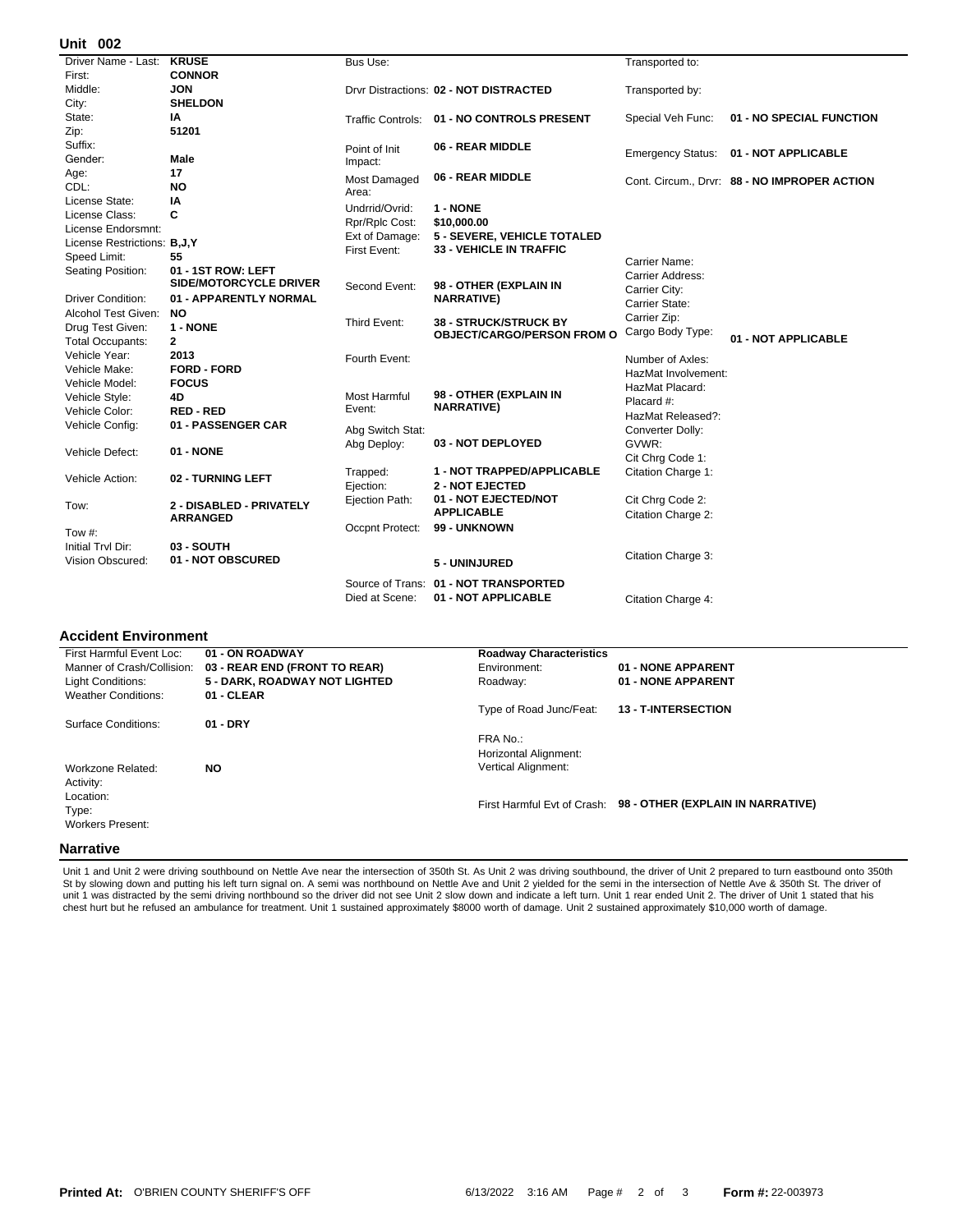#### **002 Unit**

| UIIIL UUZ                   |                               |                  |                                                                   |                     |                                              |
|-----------------------------|-------------------------------|------------------|-------------------------------------------------------------------|---------------------|----------------------------------------------|
| Driver Name - Last:         | <b>KRUSE</b>                  | Bus Use:         |                                                                   | Transported to:     |                                              |
| First:                      | <b>CONNOR</b>                 |                  |                                                                   |                     |                                              |
| Middle:                     | <b>JON</b>                    |                  | Drvr Distractions: 02 - NOT DISTRACTED                            | Transported by:     |                                              |
| City:                       | <b>SHELDON</b>                |                  |                                                                   |                     |                                              |
| State:                      | IA                            |                  | Traffic Controls: 01 - NO CONTROLS PRESENT                        | Special Veh Func:   | 01 - NO SPECIAL FUNCTION                     |
| Zip:                        | 51201                         |                  |                                                                   |                     |                                              |
| Suffix:                     |                               | Point of Init    | 06 - REAR MIDDLE                                                  |                     |                                              |
| Gender:                     | Male                          | Impact:          |                                                                   |                     | Emergency Status: 01 - NOT APPLICABLE        |
| Age:                        | 17                            | Most Damaged     | 06 - REAR MIDDLE                                                  |                     | Cont. Circum., Drvr: 88 - NO IMPROPER ACTION |
| CDL:                        | NO                            | Area:            |                                                                   |                     |                                              |
| License State:              | IA                            | Undrrid/Ovrid:   | 1 - NONE                                                          |                     |                                              |
| License Class:              | C                             | Rpr/Rplc Cost:   | \$10,000.00                                                       |                     |                                              |
| License Endorsmnt:          |                               | Ext of Damage:   | 5 - SEVERE, VEHICLE TOTALED                                       |                     |                                              |
| License Restrictions: B,J,Y |                               | First Event:     | <b>33 - VEHICLE IN TRAFFIC</b>                                    |                     |                                              |
| Speed Limit:                | 55                            |                  |                                                                   | Carrier Name:       |                                              |
| Seating Position:           | 01 - 1ST ROW: LEFT            |                  |                                                                   | Carrier Address:    |                                              |
|                             | <b>SIDE/MOTORCYCLE DRIVER</b> | Second Event:    | 98 - OTHER (EXPLAIN IN                                            | Carrier City:       |                                              |
| <b>Driver Condition:</b>    | 01 - APPARENTLY NORMAL        |                  | <b>NARRATIVE)</b>                                                 | Carrier State:      |                                              |
| Alcohol Test Given:         | NO.                           |                  |                                                                   | Carrier Zip:        |                                              |
| Drug Test Given:            | 1 - NONE                      | Third Event:     | <b>38 - STRUCK/STRUCK BY</b><br><b>OBJECT/CARGO/PERSON FROM O</b> | Cargo Body Type:    |                                              |
| <b>Total Occupants:</b>     | $\mathbf{2}$                  |                  |                                                                   |                     | 01 - NOT APPLICABLE                          |
| Vehicle Year:               | 2013                          | Fourth Event:    |                                                                   | Number of Axles:    |                                              |
| Vehicle Make:               | <b>FORD - FORD</b>            |                  |                                                                   | HazMat Involvement: |                                              |
| Vehicle Model:              | <b>FOCUS</b>                  |                  |                                                                   | HazMat Placard:     |                                              |
| Vehicle Style:              | 4D                            | Most Harmful     | 98 - OTHER (EXPLAIN IN                                            | Placard #:          |                                              |
| Vehicle Color:              | <b>RED-RED</b>                | Event:           | <b>NARRATIVE)</b>                                                 | HazMat Released?:   |                                              |
| Vehicle Config:             | 01 - PASSENGER CAR            | Abg Switch Stat: |                                                                   | Converter Dolly:    |                                              |
|                             |                               | Abg Deploy:      | 03 - NOT DEPLOYED                                                 | GVWR:               |                                              |
| Vehicle Defect:             | 01 - NONE                     |                  |                                                                   | Cit Chrg Code 1:    |                                              |
|                             |                               | Trapped:         | 1 - NOT TRAPPED/APPLICABLE                                        | Citation Charge 1:  |                                              |
| Vehicle Action:             | 02 - TURNING LEFT             | Ejection:        | <b>2 - NOT EJECTED</b>                                            |                     |                                              |
|                             |                               | Ejection Path:   | 01 - NOT EJECTED/NOT                                              | Cit Chrg Code 2:    |                                              |
| Tow:                        | 2 - DISABLED - PRIVATELY      |                  | <b>APPLICABLE</b>                                                 | Citation Charge 2:  |                                              |
|                             | <b>ARRANGED</b>               | Occpnt Protect:  | 99 - UNKNOWN                                                      |                     |                                              |
| Tow #:                      |                               |                  |                                                                   |                     |                                              |
| Initial Trvl Dir:           | 03 - SOUTH                    |                  |                                                                   | Citation Charge 3:  |                                              |
| Vision Obscured:            | 01 - NOT OBSCURED             |                  | 5 - UNINJURED                                                     |                     |                                              |
|                             |                               |                  | Source of Trans: 01 - NOT TRANSPORTED                             |                     |                                              |
|                             |                               | Died at Scene:   | 01 - NOT APPLICABLE                                               | Citation Charge 4:  |                                              |
|                             |                               |                  |                                                                   |                     |                                              |

### **Accident Environment**

| First Harmful Event Loc:   | 01 - ON ROADWAY               | <b>Roadway Characteristics</b> |                                   |
|----------------------------|-------------------------------|--------------------------------|-----------------------------------|
| Manner of Crash/Collision: | 03 - REAR END (FRONT TO REAR) | Environment:                   | 01 - NONE APPARENT                |
| Light Conditions:          | 5 - DARK, ROADWAY NOT LIGHTED | Roadway:                       | 01 - NONE APPARENT                |
| <b>Weather Conditions:</b> | 01 - CLEAR                    |                                |                                   |
|                            |                               | Type of Road Junc/Feat:        | <b>13 - T-INTERSECTION</b>        |
| Surface Conditions:        | $01 - DRY$                    |                                |                                   |
|                            |                               | FRA No.:                       |                                   |
|                            |                               | Horizontal Alignment:          |                                   |
| Workzone Related:          | NO.                           | <b>Vertical Alignment:</b>     |                                   |
| Activity:                  |                               |                                |                                   |
| Location:                  |                               |                                |                                   |
| Type:                      |                               | First Harmful Evt of Crash:    | 98 - OTHER (EXPLAIN IN NARRATIVE) |
| <b>Workers Present:</b>    |                               |                                |                                   |
|                            |                               |                                |                                   |
| <b>Narrative</b>           |                               |                                |                                   |

Unit 1 and Unit 2 were driving southbound on Nettle Ave near the intersection of 350th St. As Unit 2 was driving southbound, the driver of Unit 2 prepared to turn eastbound onto 350th<br>St by slowing down and putting his lef unit 1 was distracted by the semi driving northbound so the driver did not see Unit 2 slow down and indicate a left turn. Unit 1 rear ended Unit 2. The driver of Unit 1 stated that his<br>chest hurt but he refused an ambulanc